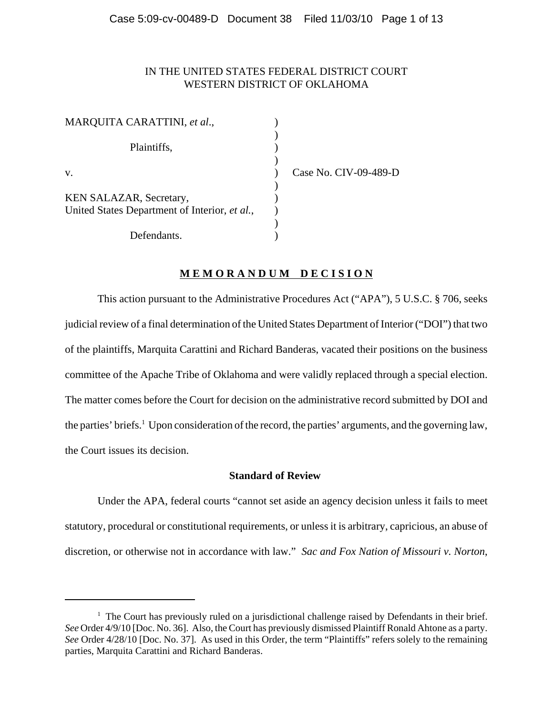# IN THE UNITED STATES FEDERAL DISTRICT COURT WESTERN DISTRICT OF OKLAHOMA

| MARQUITA CARATTINI, et al.,                   |  |
|-----------------------------------------------|--|
|                                               |  |
| Plaintiffs,                                   |  |
|                                               |  |
| v.                                            |  |
|                                               |  |
| KEN SALAZAR, Secretary,                       |  |
| United States Department of Interior, et al., |  |
|                                               |  |
| Defendants.                                   |  |

Case No. CIV-09-489-D

# **M E M O R A N D U M D E C I S I O N**

This action pursuant to the Administrative Procedures Act ("APA"), 5 U.S.C. § 706, seeks judicial review of a final determination of the United States Department of Interior ("DOI") that two of the plaintiffs, Marquita Carattini and Richard Banderas, vacated their positions on the business committee of the Apache Tribe of Oklahoma and were validly replaced through a special election. The matter comes before the Court for decision on the administrative record submitted by DOI and the parties' briefs.<sup>1</sup> Upon consideration of the record, the parties' arguments, and the governing law, the Court issues its decision.

## **Standard of Review**

Under the APA, federal courts "cannot set aside an agency decision unless it fails to meet statutory, procedural or constitutional requirements, or unless it is arbitrary, capricious, an abuse of discretion, or otherwise not in accordance with law." *Sac and Fox Nation of Missouri v. Norton*,

<sup>&</sup>lt;sup>1</sup> The Court has previously ruled on a jurisdictional challenge raised by Defendants in their brief. *See* Order 4/9/10 [Doc. No. 36]. Also, the Court has previously dismissed Plaintiff Ronald Ahtone as a party. *See* Order 4/28/10 [Doc. No. 37]. As used in this Order, the term "Plaintiffs" refers solely to the remaining parties, Marquita Carattini and Richard Banderas.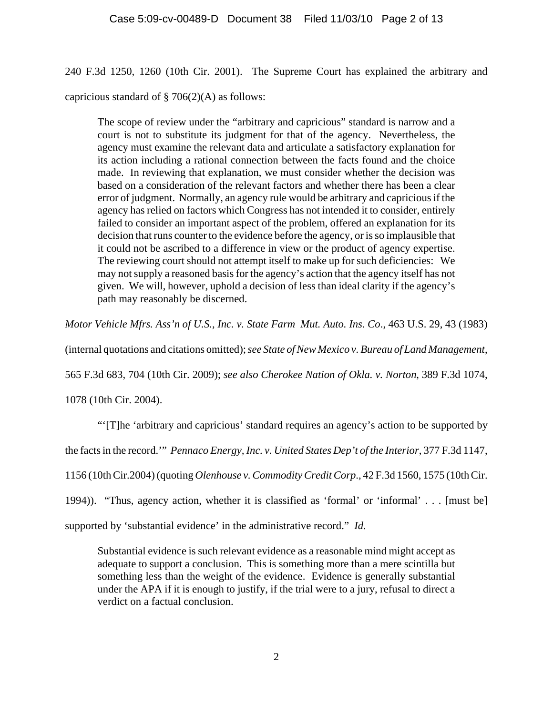240 F.3d 1250, 1260 (10th Cir. 2001). The Supreme Court has explained the arbitrary and capricious standard of  $\S$  706(2)(A) as follows:

The scope of review under the "arbitrary and capricious" standard is narrow and a court is not to substitute its judgment for that of the agency. Nevertheless, the agency must examine the relevant data and articulate a satisfactory explanation for its action including a rational connection between the facts found and the choice made. In reviewing that explanation, we must consider whether the decision was based on a consideration of the relevant factors and whether there has been a clear error of judgment. Normally, an agency rule would be arbitrary and capricious if the agency has relied on factors which Congress has not intended it to consider, entirely failed to consider an important aspect of the problem, offered an explanation for its decision that runs counter to the evidence before the agency, or is so implausible that it could not be ascribed to a difference in view or the product of agency expertise. The reviewing court should not attempt itself to make up for such deficiencies: We may not supply a reasoned basis for the agency's action that the agency itself has not given. We will, however, uphold a decision of less than ideal clarity if the agency's path may reasonably be discerned.

*Motor Vehicle Mfrs. Ass'n of U.S., Inc. v. State Farm Mut. Auto. Ins. Co*., 463 U.S. 29, 43 (1983)

(internal quotations and citations omitted); *see State of New Mexico v. Bureau of Land Management*,

565 F.3d 683, 704 (10th Cir. 2009); *see also Cherokee Nation of Okla. v. Norton*, 389 F.3d 1074,

1078 (10th Cir. 2004).

"'[T]he 'arbitrary and capricious' standard requires an agency's action to be supported by

the facts in the record.'" *Pennaco Energy, Inc. v. United States Dep't of the Interior*, 377 F.3d 1147,

1156 (10th Cir.2004) (quoting *Olenhouse v. Commodity Credit Corp*., 42 F.3d 1560, 1575 (10th Cir.

1994)). "Thus, agency action, whether it is classified as 'formal' or 'informal' . . . [must be]

supported by 'substantial evidence' in the administrative record." *Id.*

Substantial evidence is such relevant evidence as a reasonable mind might accept as adequate to support a conclusion. This is something more than a mere scintilla but something less than the weight of the evidence. Evidence is generally substantial under the APA if it is enough to justify, if the trial were to a jury, refusal to direct a verdict on a factual conclusion.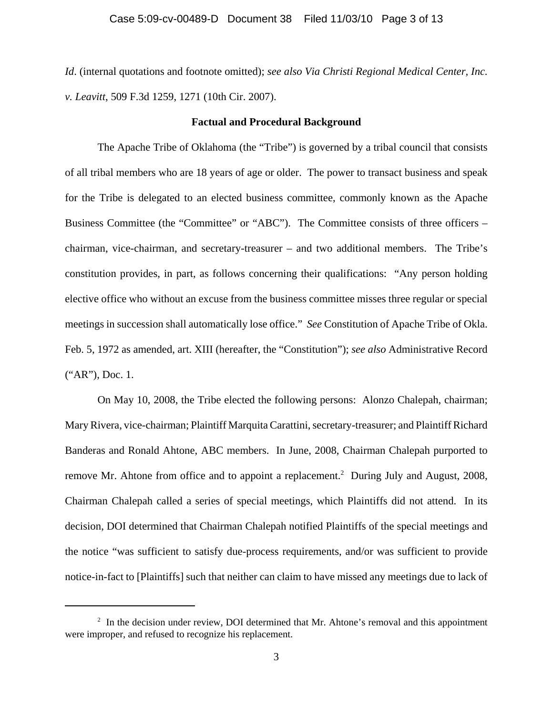*Id*. (internal quotations and footnote omitted); *see also Via Christi Regional Medical Center, Inc. v. Leavitt*, 509 F.3d 1259, 1271 (10th Cir. 2007).

#### **Factual and Procedural Background**

The Apache Tribe of Oklahoma (the "Tribe") is governed by a tribal council that consists of all tribal members who are 18 years of age or older. The power to transact business and speak for the Tribe is delegated to an elected business committee, commonly known as the Apache Business Committee (the "Committee" or "ABC"). The Committee consists of three officers – chairman, vice-chairman, and secretary-treasurer – and two additional members. The Tribe's constitution provides, in part, as follows concerning their qualifications: "Any person holding elective office who without an excuse from the business committee misses three regular or special meetings in succession shall automatically lose office." *See* Constitution of Apache Tribe of Okla. Feb. 5, 1972 as amended, art. XIII (hereafter, the "Constitution"); *see also* Administrative Record ("AR"), Doc. 1.

On May 10, 2008, the Tribe elected the following persons: Alonzo Chalepah, chairman; Mary Rivera, vice-chairman; Plaintiff Marquita Carattini, secretary-treasurer; and Plaintiff Richard Banderas and Ronald Ahtone, ABC members. In June, 2008, Chairman Chalepah purported to remove Mr. Ahtone from office and to appoint a replacement.<sup>2</sup> During July and August, 2008, Chairman Chalepah called a series of special meetings, which Plaintiffs did not attend. In its decision, DOI determined that Chairman Chalepah notified Plaintiffs of the special meetings and the notice "was sufficient to satisfy due-process requirements, and/or was sufficient to provide notice-in-fact to [Plaintiffs] such that neither can claim to have missed any meetings due to lack of

 $2\;\;$  In the decision under review, DOI determined that Mr. Ahtone's removal and this appointment were improper, and refused to recognize his replacement.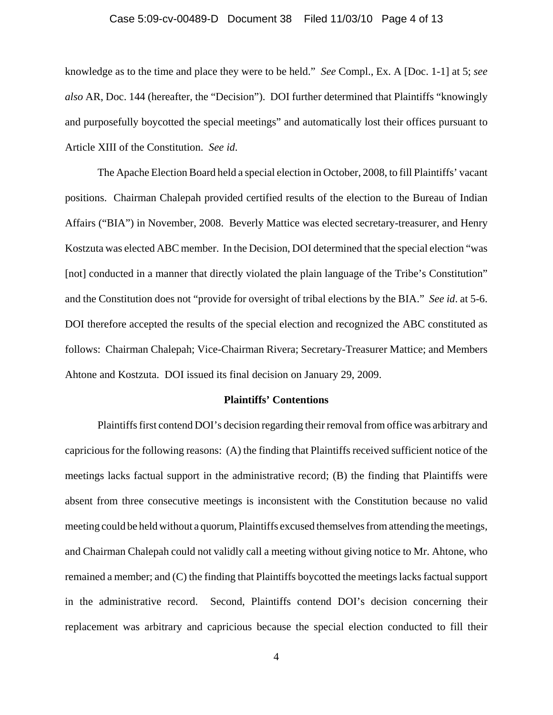### Case 5:09-cv-00489-D Document 38 Filed 11/03/10 Page 4 of 13

knowledge as to the time and place they were to be held." *See* Compl., Ex. A [Doc. 1-1] at 5; *see also* AR, Doc. 144 (hereafter, the "Decision"). DOI further determined that Plaintiffs "knowingly and purposefully boycotted the special meetings" and automatically lost their offices pursuant to Article XIII of the Constitution. *See id*.

The Apache Election Board held a special election in October, 2008, to fill Plaintiffs' vacant positions. Chairman Chalepah provided certified results of the election to the Bureau of Indian Affairs ("BIA") in November, 2008. Beverly Mattice was elected secretary-treasurer, and Henry Kostzuta was elected ABC member. In the Decision, DOI determined that the special election "was [not] conducted in a manner that directly violated the plain language of the Tribe's Constitution" and the Constitution does not "provide for oversight of tribal elections by the BIA." *See id*. at 5-6. DOI therefore accepted the results of the special election and recognized the ABC constituted as follows: Chairman Chalepah; Vice-Chairman Rivera; Secretary-Treasurer Mattice; and Members Ahtone and Kostzuta. DOI issued its final decision on January 29, 2009.

#### **Plaintiffs' Contentions**

Plaintiffs first contend DOI's decision regarding their removal from office was arbitrary and capricious for the following reasons: (A) the finding that Plaintiffs received sufficient notice of the meetings lacks factual support in the administrative record; (B) the finding that Plaintiffs were absent from three consecutive meetings is inconsistent with the Constitution because no valid meeting could be held without a quorum, Plaintiffs excused themselves from attending the meetings, and Chairman Chalepah could not validly call a meeting without giving notice to Mr. Ahtone, who remained a member; and (C) the finding that Plaintiffs boycotted the meetings lacks factual support in the administrative record. Second, Plaintiffs contend DOI's decision concerning their replacement was arbitrary and capricious because the special election conducted to fill their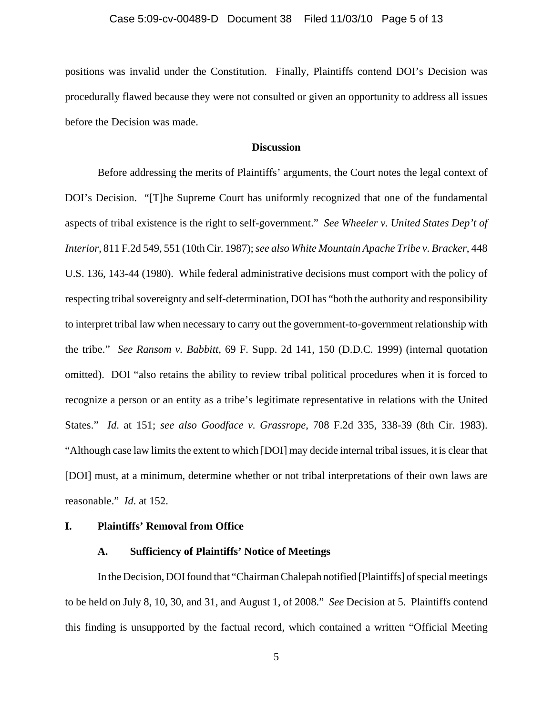positions was invalid under the Constitution. Finally, Plaintiffs contend DOI's Decision was procedurally flawed because they were not consulted or given an opportunity to address all issues before the Decision was made.

#### **Discussion**

Before addressing the merits of Plaintiffs' arguments, the Court notes the legal context of DOI's Decision. "[T]he Supreme Court has uniformly recognized that one of the fundamental aspects of tribal existence is the right to self-government." *See Wheeler v. United States Dep't of Interior*, 811 F.2d 549, 551 (10th Cir. 1987); *see also White Mountain Apache Tribe v. Bracker*, 448 U.S. 136, 143-44 (1980). While federal administrative decisions must comport with the policy of respecting tribal sovereignty and self-determination, DOI has "both the authority and responsibility to interpret tribal law when necessary to carry out the government-to-government relationship with the tribe." *See Ransom v. Babbitt*, 69 F. Supp. 2d 141, 150 (D.D.C. 1999) (internal quotation omitted). DOI "also retains the ability to review tribal political procedures when it is forced to recognize a person or an entity as a tribe's legitimate representative in relations with the United States." *Id*. at 151; *see also Goodface v. Grassrope*, 708 F.2d 335, 338-39 (8th Cir. 1983). "Although case law limits the extent to which [DOI] may decide internal tribal issues, it is clear that [DOI] must, at a minimum, determine whether or not tribal interpretations of their own laws are reasonable." *Id*. at 152.

# **I. Plaintiffs' Removal from Office**

## **A. Sufficiency of Plaintiffs' Notice of Meetings**

In the Decision, DOI found that "Chairman Chalepah notified [Plaintiffs] of special meetings to be held on July 8, 10, 30, and 31, and August 1, of 2008." *See* Decision at 5. Plaintiffs contend this finding is unsupported by the factual record, which contained a written "Official Meeting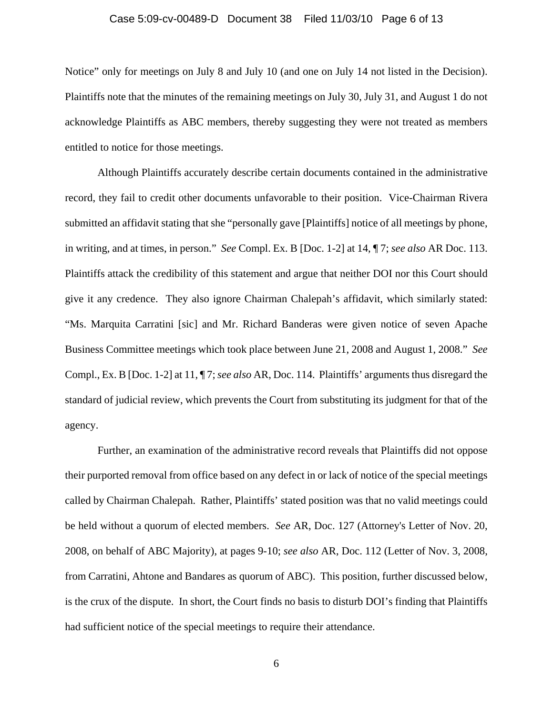### Case 5:09-cv-00489-D Document 38 Filed 11/03/10 Page 6 of 13

Notice" only for meetings on July 8 and July 10 (and one on July 14 not listed in the Decision). Plaintiffs note that the minutes of the remaining meetings on July 30, July 31, and August 1 do not acknowledge Plaintiffs as ABC members, thereby suggesting they were not treated as members entitled to notice for those meetings.

Although Plaintiffs accurately describe certain documents contained in the administrative record, they fail to credit other documents unfavorable to their position. Vice-Chairman Rivera submitted an affidavit stating that she "personally gave [Plaintiffs] notice of all meetings by phone, in writing, and at times, in person." *See* Compl. Ex. B [Doc. 1-2] at 14, ¶ 7; *see also* AR Doc. 113. Plaintiffs attack the credibility of this statement and argue that neither DOI nor this Court should give it any credence. They also ignore Chairman Chalepah's affidavit, which similarly stated: "Ms. Marquita Carratini [sic] and Mr. Richard Banderas were given notice of seven Apache Business Committee meetings which took place between June 21, 2008 and August 1, 2008." *See* Compl., Ex. B [Doc. 1-2] at 11, ¶ 7; *see also* AR, Doc. 114. Plaintiffs' arguments thus disregard the standard of judicial review, which prevents the Court from substituting its judgment for that of the agency.

Further, an examination of the administrative record reveals that Plaintiffs did not oppose their purported removal from office based on any defect in or lack of notice of the special meetings called by Chairman Chalepah. Rather, Plaintiffs' stated position was that no valid meetings could be held without a quorum of elected members. *See* AR, Doc. 127 (Attorney's Letter of Nov. 20, 2008, on behalf of ABC Majority), at pages 9-10; *see also* AR, Doc. 112 (Letter of Nov. 3, 2008, from Carratini, Ahtone and Bandares as quorum of ABC). This position, further discussed below, is the crux of the dispute. In short, the Court finds no basis to disturb DOI's finding that Plaintiffs had sufficient notice of the special meetings to require their attendance.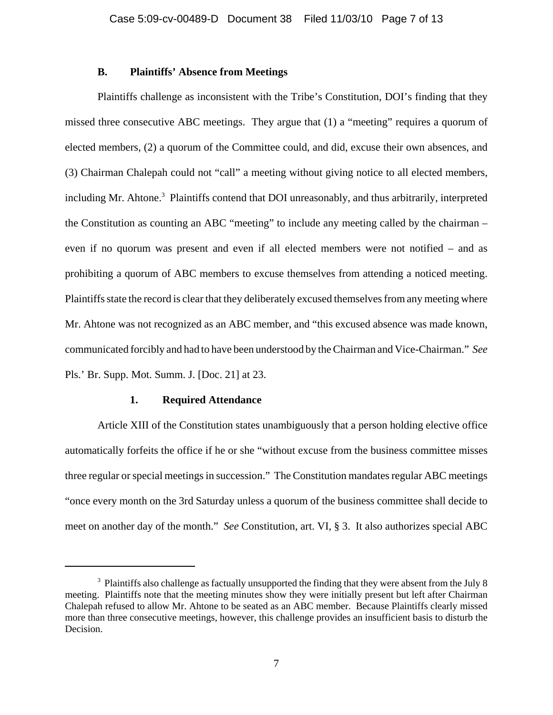## **B. Plaintiffs' Absence from Meetings**

Plaintiffs challenge as inconsistent with the Tribe's Constitution, DOI's finding that they missed three consecutive ABC meetings. They argue that (1) a "meeting" requires a quorum of elected members, (2) a quorum of the Committee could, and did, excuse their own absences, and (3) Chairman Chalepah could not "call" a meeting without giving notice to all elected members, including Mr. Ahtone.<sup>3</sup> Plaintiffs contend that DOI unreasonably, and thus arbitrarily, interpreted the Constitution as counting an ABC "meeting" to include any meeting called by the chairman – even if no quorum was present and even if all elected members were not notified – and as prohibiting a quorum of ABC members to excuse themselves from attending a noticed meeting. Plaintiffs state the record is clear that they deliberately excused themselves from any meeting where Mr. Ahtone was not recognized as an ABC member, and "this excused absence was made known, communicated forcibly and had to have been understood by the Chairman and Vice-Chairman." *See* Pls.' Br. Supp. Mot. Summ. J. [Doc. 21] at 23.

## **1. Required Attendance**

Article XIII of the Constitution states unambiguously that a person holding elective office automatically forfeits the office if he or she "without excuse from the business committee misses three regular or special meetings in succession." The Constitution mandates regular ABC meetings "once every month on the 3rd Saturday unless a quorum of the business committee shall decide to meet on another day of the month." *See* Constitution, art. VI, § 3. It also authorizes special ABC

<sup>&</sup>lt;sup>3</sup> Plaintiffs also challenge as factually unsupported the finding that they were absent from the July 8 meeting. Plaintiffs note that the meeting minutes show they were initially present but left after Chairman Chalepah refused to allow Mr. Ahtone to be seated as an ABC member. Because Plaintiffs clearly missed more than three consecutive meetings, however, this challenge provides an insufficient basis to disturb the Decision.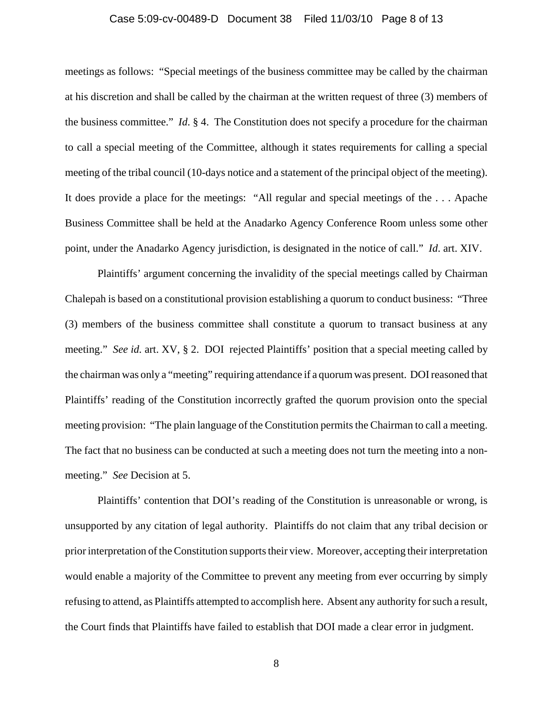#### Case 5:09-cv-00489-D Document 38 Filed 11/03/10 Page 8 of 13

meetings as follows: "Special meetings of the business committee may be called by the chairman at his discretion and shall be called by the chairman at the written request of three (3) members of the business committee." *Id*. § 4. The Constitution does not specify a procedure for the chairman to call a special meeting of the Committee, although it states requirements for calling a special meeting of the tribal council (10-days notice and a statement of the principal object of the meeting). It does provide a place for the meetings: "All regular and special meetings of the . . . Apache Business Committee shall be held at the Anadarko Agency Conference Room unless some other point, under the Anadarko Agency jurisdiction, is designated in the notice of call." *Id*. art. XIV.

Plaintiffs' argument concerning the invalidity of the special meetings called by Chairman Chalepah is based on a constitutional provision establishing a quorum to conduct business: "Three (3) members of the business committee shall constitute a quorum to transact business at any meeting." *See id.* art. XV, § 2. DOI rejected Plaintiffs' position that a special meeting called by the chairman was only a "meeting" requiring attendance if a quorum was present. DOI reasoned that Plaintiffs' reading of the Constitution incorrectly grafted the quorum provision onto the special meeting provision: "The plain language of the Constitution permits the Chairman to call a meeting. The fact that no business can be conducted at such a meeting does not turn the meeting into a nonmeeting." *See* Decision at 5.

Plaintiffs' contention that DOI's reading of the Constitution is unreasonable or wrong, is unsupported by any citation of legal authority. Plaintiffs do not claim that any tribal decision or prior interpretation of the Constitution supports their view. Moreover, accepting their interpretation would enable a majority of the Committee to prevent any meeting from ever occurring by simply refusing to attend, as Plaintiffs attempted to accomplish here. Absent any authority for such a result, the Court finds that Plaintiffs have failed to establish that DOI made a clear error in judgment.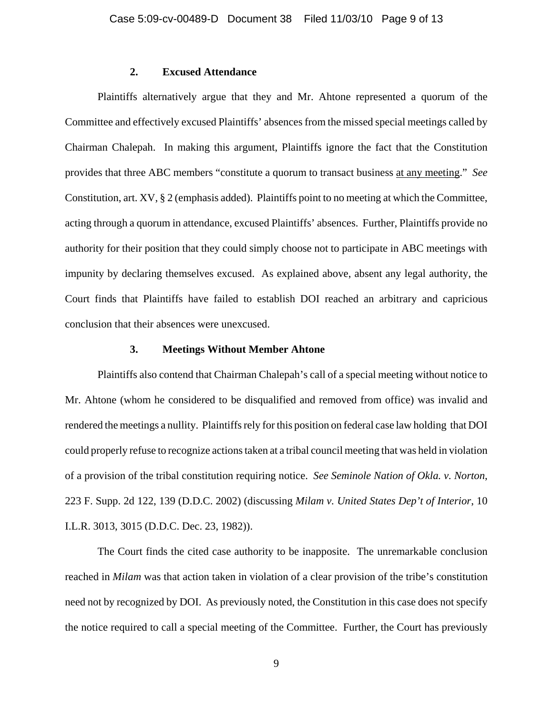# **2. Excused Attendance**

Plaintiffs alternatively argue that they and Mr. Ahtone represented a quorum of the Committee and effectively excused Plaintiffs' absences from the missed special meetings called by Chairman Chalepah. In making this argument, Plaintiffs ignore the fact that the Constitution provides that three ABC members "constitute a quorum to transact business at any meeting." *See* Constitution, art. XV, § 2 (emphasis added). Plaintiffs point to no meeting at which the Committee, acting through a quorum in attendance, excused Plaintiffs' absences. Further, Plaintiffs provide no authority for their position that they could simply choose not to participate in ABC meetings with impunity by declaring themselves excused. As explained above, absent any legal authority, the Court finds that Plaintiffs have failed to establish DOI reached an arbitrary and capricious conclusion that their absences were unexcused.

### **3. Meetings Without Member Ahtone**

Plaintiffs also contend that Chairman Chalepah's call of a special meeting without notice to Mr. Ahtone (whom he considered to be disqualified and removed from office) was invalid and rendered the meetings a nullity. Plaintiffs rely for this position on federal case law holding that DOI could properly refuse to recognize actions taken at a tribal council meeting that was held in violation of a provision of the tribal constitution requiring notice. *See Seminole Nation of Okla. v. Norton*, 223 F. Supp. 2d 122, 139 (D.D.C. 2002) (discussing *Milam v. United States Dep't of Interior*, 10 I.L.R. 3013, 3015 (D.D.C. Dec. 23, 1982)).

The Court finds the cited case authority to be inapposite. The unremarkable conclusion reached in *Milam* was that action taken in violation of a clear provision of the tribe's constitution need not by recognized by DOI. As previously noted, the Constitution in this case does not specify the notice required to call a special meeting of the Committee. Further, the Court has previously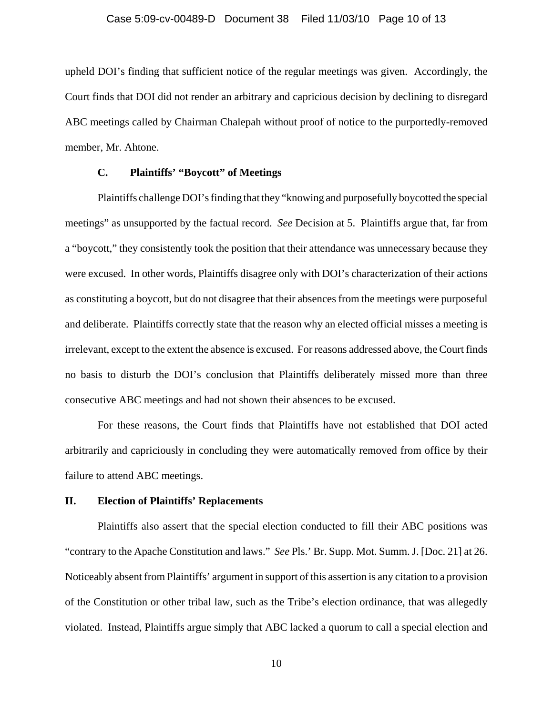# Case 5:09-cv-00489-D Document 38 Filed 11/03/10 Page 10 of 13

upheld DOI's finding that sufficient notice of the regular meetings was given. Accordingly, the Court finds that DOI did not render an arbitrary and capricious decision by declining to disregard ABC meetings called by Chairman Chalepah without proof of notice to the purportedly-removed member, Mr. Ahtone.

# **C. Plaintiffs' "Boycott" of Meetings**

Plaintiffs challenge DOI's finding that they "knowing and purposefully boycotted the special meetings" as unsupported by the factual record. *See* Decision at 5. Plaintiffs argue that, far from a "boycott," they consistently took the position that their attendance was unnecessary because they were excused. In other words, Plaintiffs disagree only with DOI's characterization of their actions as constituting a boycott, but do not disagree that their absences from the meetings were purposeful and deliberate. Plaintiffs correctly state that the reason why an elected official misses a meeting is irrelevant, except to the extent the absence is excused. For reasons addressed above, the Court finds no basis to disturb the DOI's conclusion that Plaintiffs deliberately missed more than three consecutive ABC meetings and had not shown their absences to be excused.

For these reasons, the Court finds that Plaintiffs have not established that DOI acted arbitrarily and capriciously in concluding they were automatically removed from office by their failure to attend ABC meetings.

## **II. Election of Plaintiffs' Replacements**

Plaintiffs also assert that the special election conducted to fill their ABC positions was "contrary to the Apache Constitution and laws." *See* Pls.' Br. Supp. Mot. Summ. J. [Doc. 21] at 26. Noticeably absent from Plaintiffs' argument in support of this assertion is any citation to a provision of the Constitution or other tribal law, such as the Tribe's election ordinance, that was allegedly violated. Instead, Plaintiffs argue simply that ABC lacked a quorum to call a special election and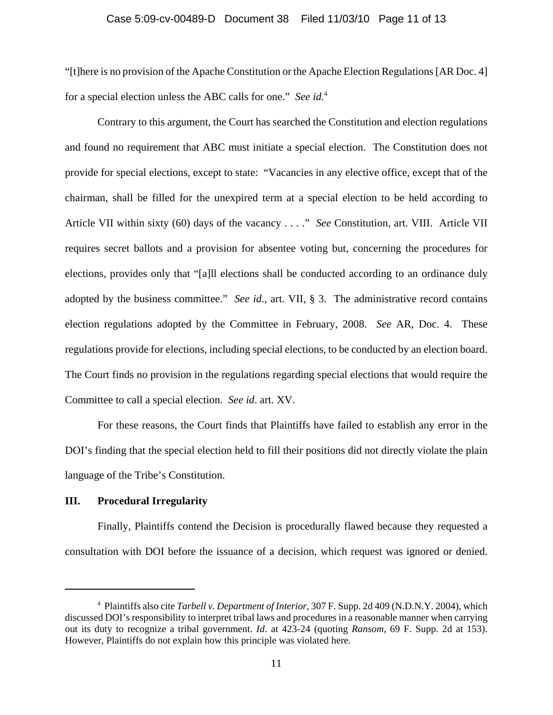#### Case 5:09-cv-00489-D Document 38 Filed 11/03/10 Page 11 of 13

"[t]here is no provision of the Apache Constitution or the Apache Election Regulations [AR Doc. 4] for a special election unless the ABC calls for one." *See id.*<sup>4</sup>

Contrary to this argument, the Court has searched the Constitution and election regulations and found no requirement that ABC must initiate a special election. The Constitution does not provide for special elections, except to state: "Vacancies in any elective office, except that of the chairman, shall be filled for the unexpired term at a special election to be held according to Article VII within sixty (60) days of the vacancy . . . ." *See* Constitution, art. VIII. Article VII requires secret ballots and a provision for absentee voting but, concerning the procedures for elections, provides only that "[a]ll elections shall be conducted according to an ordinance duly adopted by the business committee." *See id*., art. VII, § 3. The administrative record contains election regulations adopted by the Committee in February, 2008. *See* AR, Doc. 4. These regulations provide for elections, including special elections, to be conducted by an election board. The Court finds no provision in the regulations regarding special elections that would require the Committee to call a special election. *See id*. art. XV.

For these reasons, the Court finds that Plaintiffs have failed to establish any error in the DOI's finding that the special election held to fill their positions did not directly violate the plain language of the Tribe's Constitution.

## **III. Procedural Irregularity**

Finally, Plaintiffs contend the Decision is procedurally flawed because they requested a consultation with DOI before the issuance of a decision, which request was ignored or denied.

<sup>4</sup> Plaintiffs also cite *Tarbell v. Department of Interior*, 307 F. Supp. 2d 409 (N.D.N.Y. 2004), which discussed DOI's responsibility to interpret tribal laws and procedures in a reasonable manner when carrying out its duty to recognize a tribal government. *Id*. at 423-24 (quoting *Ransom*, 69 F. Supp. 2d at 153). However, Plaintiffs do not explain how this principle was violated here.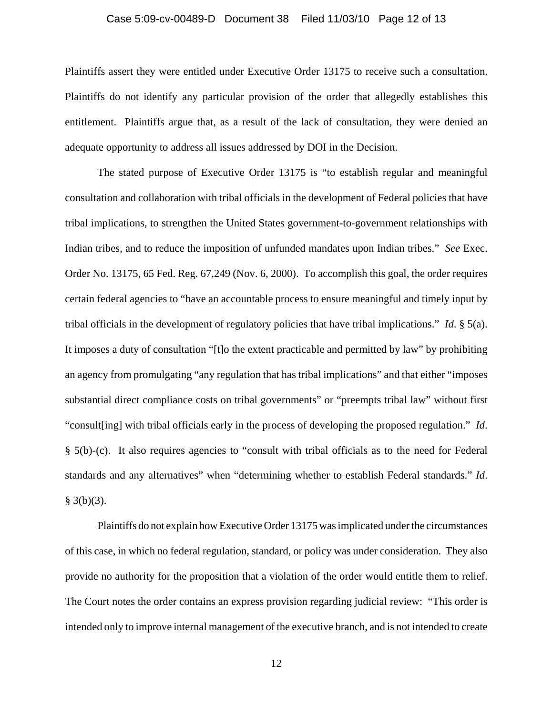#### Case 5:09-cv-00489-D Document 38 Filed 11/03/10 Page 12 of 13

Plaintiffs assert they were entitled under Executive Order 13175 to receive such a consultation. Plaintiffs do not identify any particular provision of the order that allegedly establishes this entitlement. Plaintiffs argue that, as a result of the lack of consultation, they were denied an adequate opportunity to address all issues addressed by DOI in the Decision.

The stated purpose of Executive Order 13175 is "to establish regular and meaningful consultation and collaboration with tribal officials in the development of Federal policies that have tribal implications, to strengthen the United States government-to-government relationships with Indian tribes, and to reduce the imposition of unfunded mandates upon Indian tribes." *See* Exec. Order No. 13175, 65 Fed. Reg. 67,249 (Nov. 6, 2000). To accomplish this goal, the order requires certain federal agencies to "have an accountable process to ensure meaningful and timely input by tribal officials in the development of regulatory policies that have tribal implications." *Id*. § 5(a). It imposes a duty of consultation "[t]o the extent practicable and permitted by law" by prohibiting an agency from promulgating "any regulation that has tribal implications" and that either "imposes substantial direct compliance costs on tribal governments" or "preempts tribal law" without first "consult[ing] with tribal officials early in the process of developing the proposed regulation." *Id*. § 5(b)-(c). It also requires agencies to "consult with tribal officials as to the need for Federal standards and any alternatives" when "determining whether to establish Federal standards." *Id*.  $§$  3(b)(3).

Plaintiffs do not explain how Executive Order 13175 was implicated under the circumstances of this case, in which no federal regulation, standard, or policy was under consideration. They also provide no authority for the proposition that a violation of the order would entitle them to relief. The Court notes the order contains an express provision regarding judicial review: "This order is intended only to improve internal management of the executive branch, and is not intended to create